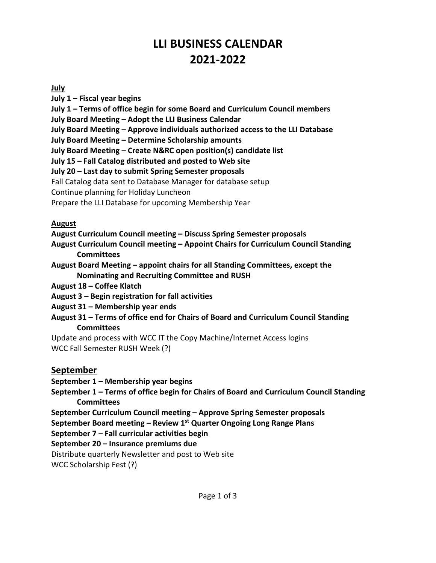## **LLI BUSINESS CALENDAR 2021-2022**

#### **July**

**July 1 – Fiscal year begins**

**July 1 – Terms of office begin for some Board and Curriculum Council members**

**July Board Meeting – Adopt the LLI Business Calendar**

**July Board Meeting – Approve individuals authorized access to the LLI Database**

**July Board Meeting – Determine Scholarship amounts**

**July Board Meeting – Create N&RC open position(s) candidate list**

**July 15 – Fall Catalog distributed and posted to Web site**

**July 20 – Last day to submit Spring Semester proposals**

Fall Catalog data sent to Database Manager for database setup

Continue planning for Holiday Luncheon

Prepare the LLI Database for upcoming Membership Year

### **August**

**August Curriculum Council meeting – Discuss Spring Semester proposals**

- **August Curriculum Council meeting – Appoint Chairs for Curriculum Council Standing Committees**
- **August Board Meeting – appoint chairs for all Standing Committees, except the Nominating and Recruiting Committee and RUSH**
- **August 18 – Coffee Klatch**
- **August 3 – Begin registration for fall activities**
- **August 31 – Membership year ends**
- **August 31 – Terms of office end for Chairs of Board and Curriculum Council Standing Committees**

Update and process with WCC IT the Copy Machine/Internet Access logins WCC Fall Semester RUSH Week (?)

### **September**

**September 1 – Membership year begins**

**September 1 – Terms of office begin for Chairs of Board and Curriculum Council Standing Committees**

**September Curriculum Council meeting – Approve Spring Semester proposals**

**September Board meeting – Review 1st Quarter Ongoing Long Range Plans**

**September 7 – Fall curricular activities begin**

**September 20 – Insurance premiums due**

Distribute quarterly Newsletter and post to Web site

WCC Scholarship Fest (?)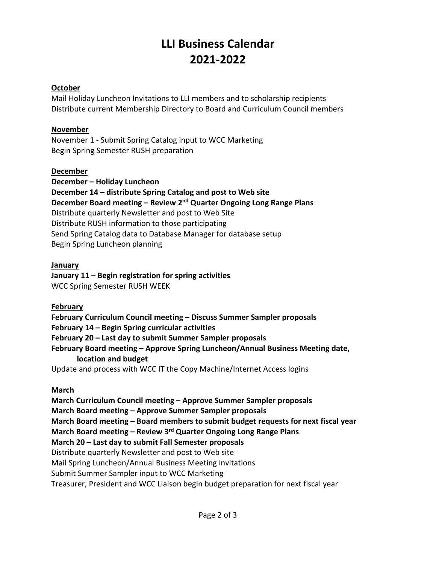# **LLI Business Calendar 2021-2022**

#### **October**

Mail Holiday Luncheon Invitations to LLI members and to scholarship recipients Distribute current Membership Directory to Board and Curriculum Council members

#### **November**

November 1 - Submit Spring Catalog input to WCC Marketing Begin Spring Semester RUSH preparation

#### **December**

**December – Holiday Luncheon December 14 – distribute Spring Catalog and post to Web site December Board meeting – Review 2nd Quarter Ongoing Long Range Plans** Distribute quarterly Newsletter and post to Web Site Distribute RUSH information to those participating Send Spring Catalog data to Database Manager for database setup Begin Spring Luncheon planning

#### **January**

**January 11 – Begin registration for spring activities** WCC Spring Semester RUSH WEEK

#### **February**

**February Curriculum Council meeting – Discuss Summer Sampler proposals February 14 – Begin Spring curricular activities February 20 – Last day to submit Summer Sampler proposals February Board meeting – Approve Spring Luncheon/Annual Business Meeting date, location and budget**

Update and process with WCC IT the Copy Machine/Internet Access logins

#### **March**

**March Curriculum Council meeting – Approve Summer Sampler proposals March Board meeting – Approve Summer Sampler proposals March Board meeting – Board members to submit budget requests for next fiscal year March Board meeting – Review 3rd Quarter Ongoing Long Range Plans March 20 – Last day to submit Fall Semester proposals**  Distribute quarterly Newsletter and post to Web site Mail Spring Luncheon/Annual Business Meeting invitations Submit Summer Sampler input to WCC Marketing Treasurer, President and WCC Liaison begin budget preparation for next fiscal year